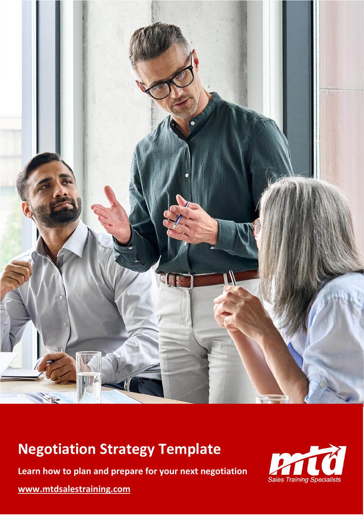

# **Negotiation Strategy Template**

**Learn how to plan and prepare for your next negotiation**

**[www.mtdsalestraining.com](https://www.mtdsalestraining.com/)**

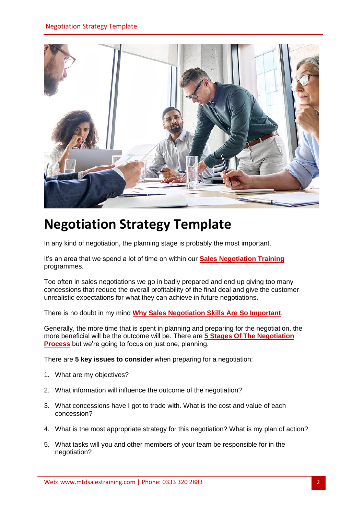

## **Negotiation Strategy Template**

In any kind of negotiation, the planning stage is probably the most important.

It's an area that we spend a lot of time on within our **[Sales Negotiation](https://www.mtdsalestraining.com/in-house-training/sales-negotiation-skills-training) Training** programmes.

Too often in sales negotiations we go in badly prepared and end up giving too many concessions that reduce the overall profitability of the final deal and give the customer unrealistic expectations for what they can achieve in future negotiations.

There is no doubt in my mind **[Why Sales Negotiation Skills Are So Important](https://www.mtdsalestraining.com/in-house-training/sales-negotiation-skills-training/why-negotiation-skills-important-how-to-improve)**.

Generally, the more time that is spent in planning and preparing for the negotiation, the more beneficial will be the outcome will be. There are **[5 Stages Of The Negotiation](https://www.mtdsalestraining.com/in-house-training/sales-negotiation-skills-training/the-5-stages-of-the-negotiation-process.html)  [Process](https://www.mtdsalestraining.com/in-house-training/sales-negotiation-skills-training/the-5-stages-of-the-negotiation-process.html)** but we're going to focus on just one, planning.

There are **5 key issues to consider** when preparing for a negotiation:

- 1. What are my objectives?
- 2. What information will influence the outcome of the negotiation?
- 3. What concessions have I got to trade with. What is the cost and value of each concession?
- 4. What is the most appropriate strategy for this negotiation? What is my plan of action?
- 5. What tasks will you and other members of your team be responsible for in the negotiation?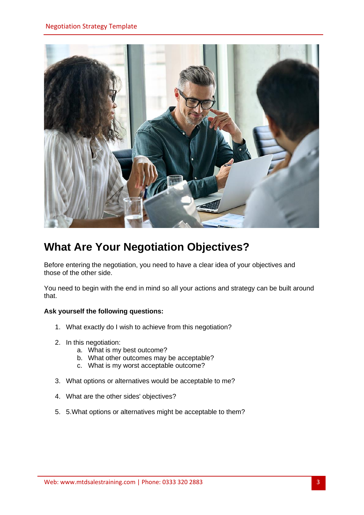

### **What Are Your Negotiation Objectives?**

Before entering the negotiation, you need to have a clear idea of your objectives and those of the other side.

You need to begin with the end in mind so all your actions and strategy can be built around that.

#### **Ask yourself the following questions:**

- 1. What exactly do I wish to achieve from this negotiation?
- 2. In this negotiation:
	- a. What is my best outcome?
	- b. What other outcomes may be acceptable?
	- c. What is my worst acceptable outcome?
- 3. What options or alternatives would be acceptable to me?
- 4. What are the other sides' objectives?
- 5. 5.What options or alternatives might be acceptable to them?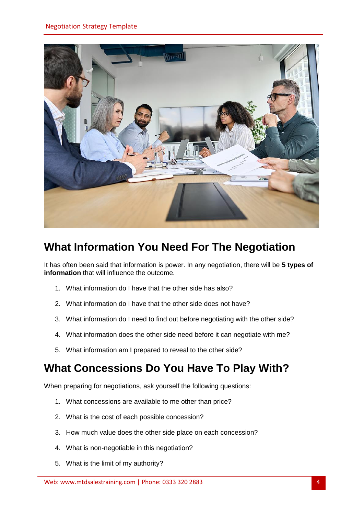

### **What Information You Need For The Negotiation**

It has often been said that information is power. In any negotiation, there will be **5 types of information** that will influence the outcome.

- 1. What information do I have that the other side has also?
- 2. What information do I have that the other side does not have?
- 3. What information do I need to find out before negotiating with the other side?
- 4. What information does the other side need before it can negotiate with me?
- 5. What information am I prepared to reveal to the other side?

#### **What Concessions Do You Have To Play With?**

When preparing for negotiations, ask yourself the following questions:

- 1. What concessions are available to me other than price?
- 2. What is the cost of each possible concession?
- 3. How much value does the other side place on each concession?
- 4. What is non-negotiable in this negotiation?
- 5. What is the limit of my authority?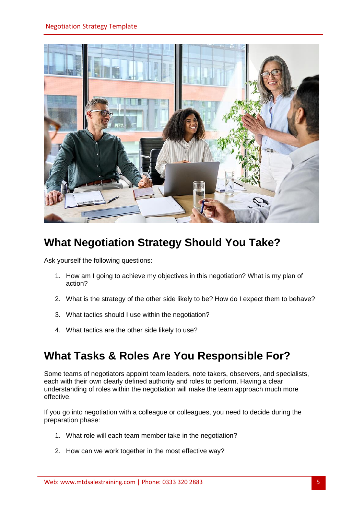

### **What Negotiation Strategy Should You Take?**

Ask yourself the following questions:

- 1. How am I going to achieve my objectives in this negotiation? What is my plan of action?
- 2. What is the strategy of the other side likely to be? How do I expect them to behave?
- 3. What tactics should I use within the negotiation?
- 4. What tactics are the other side likely to use?

#### **What Tasks & Roles Are You Responsible For?**

Some teams of negotiators appoint team leaders, note takers, observers, and specialists, each with their own clearly defined authority and roles to perform. Having a clear understanding of roles within the negotiation will make the team approach much more effective.

If you go into negotiation with a colleague or colleagues, you need to decide during the preparation phase:

- 1. What role will each team member take in the negotiation?
- 2. How can we work together in the most effective way?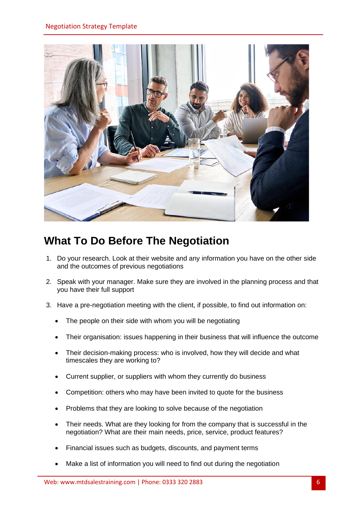

### **What To Do Before The Negotiation**

- 1. Do your research. Look at their website and any information you have on the other side and the outcomes of previous negotiations
- 2. Speak with your manager. Make sure they are involved in the planning process and that you have their full support
- 3. Have a pre-negotiation meeting with the client, if possible, to find out information on:
	- The people on their side with whom you will be negotiating
	- Their organisation: issues happening in their business that will influence the outcome
	- Their decision-making process: who is involved, how they will decide and what timescales they are working to?
	- Current supplier, or suppliers with whom they currently do business
	- Competition: others who may have been invited to quote for the business
	- Problems that they are looking to solve because of the negotiation
	- Their needs. What are they looking for from the company that is successful in the negotiation? What are their main needs, price, service, product features?
	- Financial issues such as budgets, discounts, and payment terms
	- Make a list of information you will need to find out during the negotiation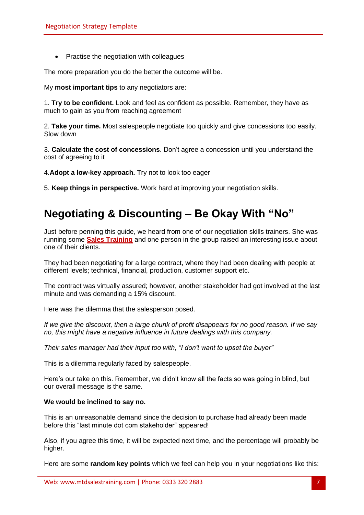• Practise the negotiation with colleagues

The more preparation you do the better the outcome will be.

My **most important tips** to any negotiators are:

1. **Try to be confident.** Look and feel as confident as possible. Remember, they have as much to gain as you from reaching agreement

2. **Take your time.** Most salespeople negotiate too quickly and give concessions too easily. Slow down

3. **Calculate the cost of concessions**. Don't agree a concession until you understand the cost of agreeing to it

4.**Adopt a low-key approach.** Try not to look too eager

5. **Keep things in perspective.** Work hard at improving your negotiation skills.

#### **Negotiating & Discounting – Be Okay With "No"**

Just before penning this guide, we heard from one of our negotiation skills trainers. She was running some **[Sales Training](https://www.mtdsalestraining.com/)** and one person in the group raised an interesting issue about one of their clients.

They had been negotiating for a large contract, where they had been dealing with people at different levels; technical, financial, production, customer support etc.

The contract was virtually assured; however, another stakeholder had got involved at the last minute and was demanding a 15% discount.

Here was the dilemma that the salesperson posed.

*If we give the discount, then a large chunk of profit disappears for no good reason. If we say no, this might have a negative influence in future dealings with this company.* 

*Their sales manager had their input too with, "I don't want to upset the buyer"* 

This is a dilemma regularly faced by salespeople.

Here's our take on this. Remember, we didn't know all the facts so was going in blind, but our overall message is the same.

#### **We would be inclined to say no.**

This is an unreasonable demand since the decision to purchase had already been made before this "last minute dot com stakeholder" appeared!

Also, if you agree this time, it will be expected next time, and the percentage will probably be higher.

Here are some **random key points** which we feel can help you in your negotiations like this: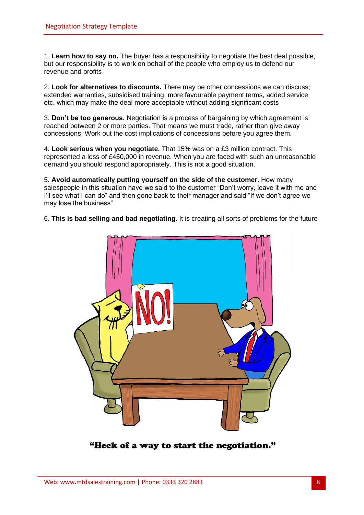1. **Learn how to say no.** The buyer has a responsibility to negotiate the best deal possible, but our responsibility is to work on behalf of the people who employ us to defend our revenue and profits

2. **Look for alternatives to discounts.** There may be other concessions we can discuss; extended warranties, subsidised training, more favourable payment terms, added service etc. which may make the deal more acceptable without adding significant costs

3. **Don't be too generous.** Negotiation is a process of bargaining by which agreement is reached between 2 or more parties. That means we must trade, rather than give away concessions. Work out the cost implications of concessions before you agree them.

4. **Look serious when you negotiate.** That 15% was on a £3 million contract. This represented a loss of £450,000 in revenue. When you are faced with such an unreasonable demand you should respond appropriately. This is not a good situation.

5. **Avoid automatically putting yourself on the side of the customer**. How many salespeople in this situation have we said to the customer "Don't worry, leave it with me and I'll see what I can do" and then gone back to their manager and said "If we don't agree we may lose the business"

6. **This is bad selling and bad negotiating**. It is creating all sorts of problems for the future



"Heck of a way to start the negotiation."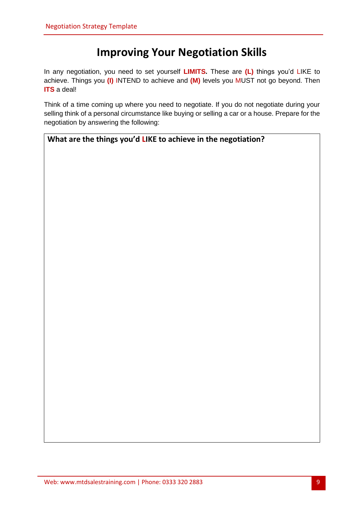#### **Improving Your Negotiation Skills**

In any negotiation, you need to set yourself **LIMITS.** These are **(L)** things you'd LIKE to achieve. Things you **(I)** INTEND to achieve and **(M)** levels you MUST not go beyond. Then **ITS** a deal!

Think of a time coming up where you need to negotiate. If you do not negotiate during your selling think of a personal circumstance like buying or selling a car or a house. Prepare for the negotiation by answering the following:

| What are the things you'd LIKE to achieve in the negotiation? |  |
|---------------------------------------------------------------|--|
|---------------------------------------------------------------|--|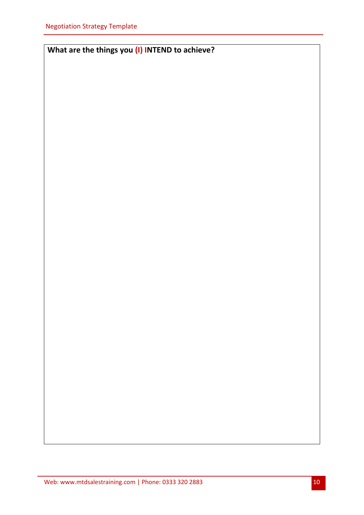**What are the things you (I) INTEND to achieve?**